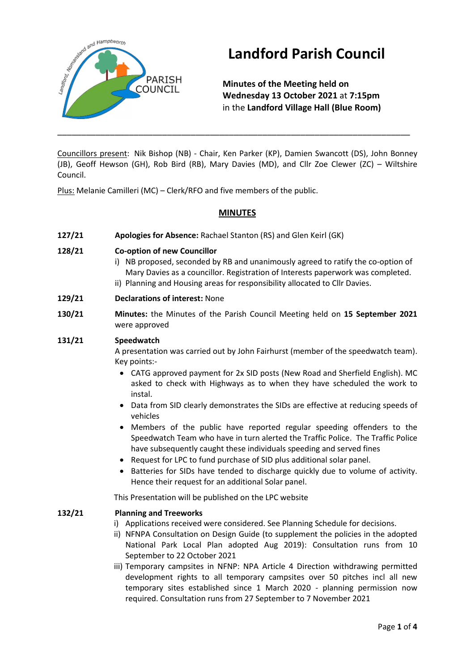

# **Landford Parish Council**

**Minutes of the Meeting held on Wednesday 13 October 2021** at **7:15pm** in the **Landford Village Hall (Blue Room)**

Councillors present: Nik Bishop (NB) - Chair, Ken Parker (KP), Damien Swancott (DS), John Bonney (JB), Geoff Hewson (GH), Rob Bird (RB), Mary Davies (MD), and Cllr Zoe Clewer (ZC) – Wiltshire Council.

\_\_\_\_\_\_\_\_\_\_\_\_\_\_\_\_\_\_\_\_\_\_\_\_\_\_\_\_\_\_\_\_\_\_\_\_\_\_\_\_\_\_\_\_\_\_\_\_\_\_\_\_\_\_\_\_\_\_\_\_\_\_\_\_\_\_\_\_\_\_\_\_\_\_

Plus: Melanie Camilleri (MC) – Clerk/RFO and five members of the public.

## **MINUTES**

**127/21 Apologies for Absence:** Rachael Stanton (RS) and Glen Keirl (GK)

### **128/21 Co-option of new Councillor**

- i) NB proposed, seconded by RB and unanimously agreed to ratify the co-option of Mary Davies as a councillor. Registration of Interests paperwork was completed.
- ii) Planning and Housing areas for responsibility allocated to Cllr Davies.
- **129/21 Declarations of interest:** None
- **130/21 Minutes:** the Minutes of the Parish Council Meeting held on **15 September 2021** were approved

### **131/21 Speedwatch**

A presentation was carried out by John Fairhurst (member of the speedwatch team). Key points:-

- CATG approved payment for 2x SID posts (New Road and Sherfield English). MC asked to check with Highways as to when they have scheduled the work to instal.
- Data from SID clearly demonstrates the SIDs are effective at reducing speeds of vehicles
- Members of the public have reported regular speeding offenders to the Speedwatch Team who have in turn alerted the Traffic Police. The Traffic Police have subsequently caught these individuals speeding and served fines
- Request for LPC to fund purchase of SID plus additional solar panel.
- Batteries for SIDs have tended to discharge quickly due to volume of activity. Hence their request for an additional Solar panel.

This Presentation will be published on the LPC website

#### **132/21 Planning and Treeworks**

- i) Applications received were considered. See Planning Schedule for decisions.
- ii) NFNPA Consultation on Design Guide (to supplement the policies in the adopted National Park Local Plan adopted Aug 2019): Consultation runs from 10 September to 22 October 2021
- iii) Temporary campsites in NFNP: NPA Article 4 Direction withdrawing permitted development rights to all temporary campsites over 50 pitches incl all new temporary sites established since 1 March 2020 - planning permission now required. Consultation runs from 27 September to 7 November 2021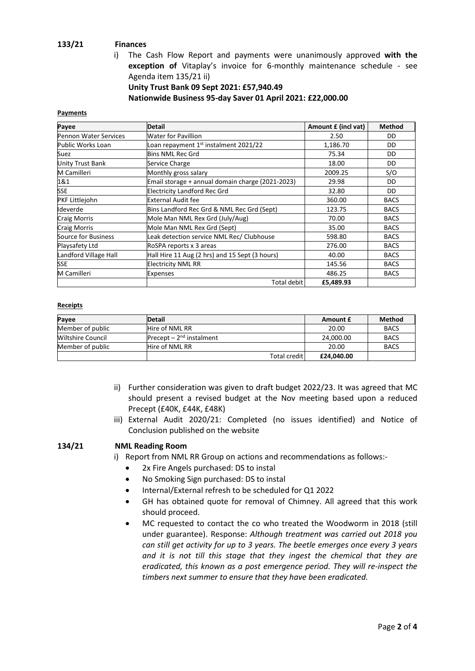### **133/21 Finances**

i) The Cash Flow Report and payments were unanimously approved **with the exception of** Vitaplay's invoice for 6-monthly maintenance schedule - see Agenda item 135/21 ii)

**Unity Trust Bank 09 Sept 2021: £57,940.49 Nationwide Business 95-day Saver 01 April 2021: £22,000.00**

#### **Payments**

| Payee                   | <b>Detail</b>                                    | Amount £ (incl vat) | <b>Method</b> |
|-------------------------|--------------------------------------------------|---------------------|---------------|
| Pennon Water Services   | Water for Pavillion                              | 2.50                | DD            |
| Public Works Loan       | Loan repayment 1st instalment 2021/22            | 1,186.70            | DD            |
| Suez                    | <b>Bins NML Rec Grd</b>                          | 75.34               | DD            |
| <b>Unity Trust Bank</b> | Service Charge                                   | 18.00               | DD            |
| M Camilleri             | Monthly gross salary                             | 2009.25             | S/O           |
| 1&1                     | Email storage + annual domain charge (2021-2023) | 29.98               | DD            |
| <b>SSE</b>              | <b>Electricity Landford Rec Grd</b>              | 32.80               | DD            |
| PKF Littlejohn          | <b>External Audit fee</b>                        | 360.00              | <b>BACS</b>   |
| Ideverde                | Bins Landford Rec Grd & NML Rec Grd (Sept)       | 123.75              | <b>BACS</b>   |
| <b>Craig Morris</b>     | Mole Man NML Rex Grd (July/Aug)                  | 70.00               | <b>BACS</b>   |
| <b>Craig Morris</b>     | Mole Man NML Rex Grd (Sept)                      | 35.00               | <b>BACS</b>   |
| Source for Business     | Leak detection service NML Rec/ Clubhouse        | 598.80              | <b>BACS</b>   |
| Playsafety Ltd          | RoSPA reports x 3 areas                          | 276.00              | <b>BACS</b>   |
| Landford Village Hall   | Hall Hire 11 Aug (2 hrs) and 15 Sept (3 hours)   | 40.00               | <b>BACS</b>   |
| <b>SSE</b>              | <b>Electricity NML RR</b>                        | 145.56              | <b>BACS</b>   |
| M Camilleri             | <b>Expenses</b>                                  | 486.25              | <b>BACS</b>   |
|                         | Total debit                                      | £5,489.93           |               |

#### **Receipts**

| Payee                    | <b>Detail</b>             |                | Amount £   | <b>Method</b> |
|--------------------------|---------------------------|----------------|------------|---------------|
| Member of public         | <b>Hire of NML RR</b>     |                | 20.00      | <b>BACS</b>   |
| <b>Wiltshire Council</b> | Precept $-2nd$ instalment |                | 24.000.00  | <b>BACS</b>   |
| Member of public         | Hire of NML RR            |                | 20.00      | <b>BACS</b>   |
|                          |                           | Total credit I | £24.040.00 |               |

- ii) Further consideration was given to draft budget 2022/23. It was agreed that MC should present a revised budget at the Nov meeting based upon a reduced Precept (£40K, £44K, £48K)
- iii) External Audit 2020/21: Completed (no issues identified) and Notice of Conclusion published on the website

#### **134/21 NML Reading Room**

i) Report from NML RR Group on actions and recommendations as follows:-

- 2x Fire Angels purchased: DS to instal
- No Smoking Sign purchased: DS to instal
- Internal/External refresh to be scheduled for Q1 2022
- GH has obtained quote for removal of Chimney. All agreed that this work should proceed.
- MC requested to contact the co who treated the Woodworm in 2018 (still under guarantee). Response: *Although treatment was carried out 2018 you can still get activity for up to 3 years. The beetle emerges once every 3 years and it is not till this stage that they ingest the chemical that they are eradicated, this known as a post emergence period. They will re-inspect the timbers next summer to ensure that they have been eradicated.*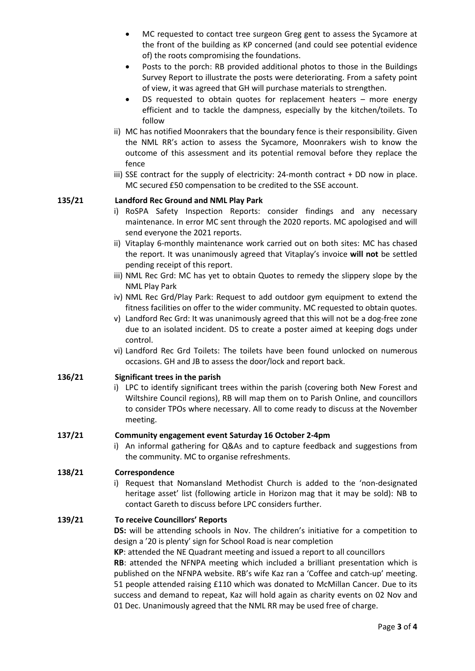- MC requested to contact tree surgeon Greg gent to assess the Sycamore at the front of the building as KP concerned (and could see potential evidence of) the roots compromising the foundations.
- Posts to the porch: RB provided additional photos to those in the Buildings Survey Report to illustrate the posts were deteriorating. From a safety point of view, it was agreed that GH will purchase materials to strengthen.
- DS requested to obtain quotes for replacement heaters  $-$  more energy efficient and to tackle the dampness, especially by the kitchen/toilets. To follow
- ii) MC has notified Moonrakers that the boundary fence is their responsibility. Given the NML RR's action to assess the Sycamore, Moonrakers wish to know the outcome of this assessment and its potential removal before they replace the fence
- iii) SSE contract for the supply of electricity: 24-month contract + DD now in place. MC secured £50 compensation to be credited to the SSE account.

### **135/21 Landford Rec Ground and NML Play Park**

- i) RoSPA Safety Inspection Reports: consider findings and any necessary maintenance. In error MC sent through the 2020 reports. MC apologised and will send everyone the 2021 reports.
- ii) Vitaplay 6-monthly maintenance work carried out on both sites: MC has chased the report. It was unanimously agreed that Vitaplay's invoice **will not** be settled pending receipt of this report.
- iii) NML Rec Grd: MC has yet to obtain Quotes to remedy the slippery slope by the NML Play Park
- iv) NML Rec Grd/Play Park: Request to add outdoor gym equipment to extend the fitness facilities on offer to the wider community. MC requested to obtain quotes.
- v) Landford Rec Grd: It was unanimously agreed that this will not be a dog-free zone due to an isolated incident. DS to create a poster aimed at keeping dogs under control.
- vi) Landford Rec Grd Toilets: The toilets have been found unlocked on numerous occasions. GH and JB to assess the door/lock and report back.

#### **136/21 Significant trees in the parish**

i) LPC to identify significant trees within the parish (covering both New Forest and Wiltshire Council regions), RB will map them on to Parish Online, and councillors to consider TPOs where necessary. All to come ready to discuss at the November meeting.

#### **137/21 Community engagement event Saturday 16 October 2-4pm**

i) An informal gathering for Q&As and to capture feedback and suggestions from the community. MC to organise refreshments.

#### **138/21 Correspondence**

i) Request that Nomansland Methodist Church is added to the 'non-designated heritage asset' list (following article in Horizon mag that it may be sold): NB to contact Gareth to discuss before LPC considers further.

#### **139/21 To receive Councillors' Reports**

**DS:** will be attending schools in Nov. The children's initiative for a competition to design a '20 is plenty' sign for School Road is near completion

**KP**: attended the NE Quadrant meeting and issued a report to all councillors

**RB**: attended the NFNPA meeting which included a brilliant presentation which is published on the NFNPA website. RB's wife Kaz ran a 'Coffee and catch-up' meeting. 51 people attended raising £110 which was donated to McMillan Cancer. Due to its success and demand to repeat, Kaz will hold again as charity events on 02 Nov and 01 Dec. Unanimously agreed that the NML RR may be used free of charge.